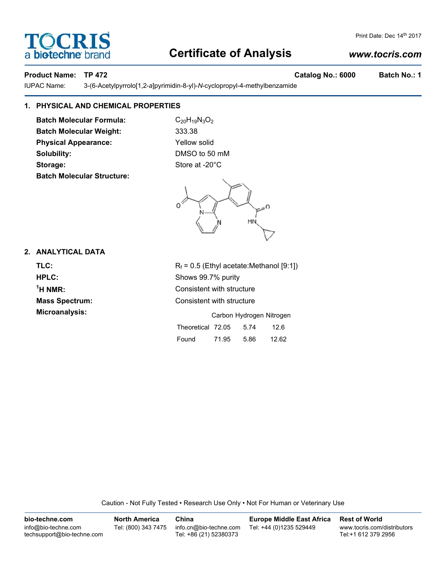# **Certificate of Analysis**

# *www.tocris.com*

# **Product Name: TP 472 Catalog No.: 6000 Batch No.: 1**

IUPAC Name: 3-(6-Acetylpyrrolo[1,2-*a*]pyrimidin-8-yl)-*N*-cyclopropyl-4-methylbenzamide

# **1. PHYSICAL AND CHEMICAL PROPERTIES**

**Batch Molecular Formula:** C<sub>20</sub>H<sub>19</sub>N<sub>3</sub>O<sub>2</sub> **Batch Molecular Weight:** 333.38 **Physical Appearance:** Yellow solid **Solubility:** DMSO to 50 mM Storage: Storage: Store at -20°C **Batch Molecular Structure:**



# **2. ANALYTICAL DATA**

**1**

**TLC:**  $R_f = 0.5$  (Ethyl acetate:Methanol [9:1]) **HPLC:** Shows 99.7% purity **Consistent with structure Mass Spectrum:** Consistent with structure **Microanalysis:** Microanalysis: Carbon Hydrogen Nitrogen

| Theoretical 72.05 |       | 5.74 | 126   |
|-------------------|-------|------|-------|
| Found             | 71.95 | 5.86 | 12.62 |

Caution - Not Fully Tested • Research Use Only • Not For Human or Veterinary Use

| bio-techne.com                                    | <b>North America</b> | China                                            | <b>Europe Middle East Africa</b> | <b>Rest of World</b>                               |
|---------------------------------------------------|----------------------|--------------------------------------------------|----------------------------------|----------------------------------------------------|
| info@bio-techne.com<br>techsupport@bio-techne.com | Tel: (800) 343 7475  | info.cn@bio-techne.com<br>Tel: +86 (21) 52380373 | Tel: +44 (0)1235 529449          | www.tocris.com/distributors<br>Tel:+1 612 379 2956 |